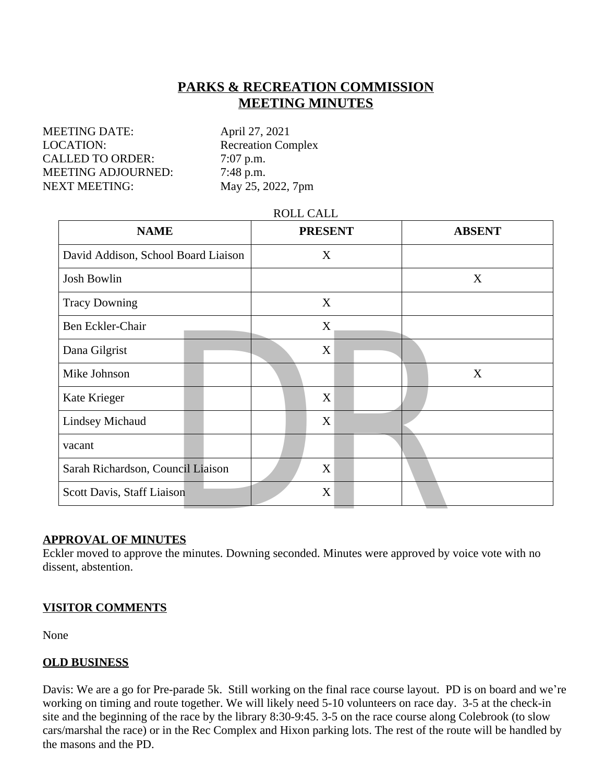# **PARKS & RECREATION COMMISSION MEETING MINUTES**

MEETING DATE: April 27, 2021 LOCATION: Recreation Complex CALLED TO ORDER: 7:07 p.m. MEETING ADJOURNED: 7:48 p.m. NEXT MEETING: May 25, 2022, 7pm

#### ROLL CALL

| <b>NAME</b>                                                                                                                                     | <b>PRESENT</b> |  | <b>ABSENT</b> |
|-------------------------------------------------------------------------------------------------------------------------------------------------|----------------|--|---------------|
| David Addison, School Board Liaison                                                                                                             | X              |  |               |
| <b>Josh Bowlin</b>                                                                                                                              |                |  | X             |
| <b>Tracy Downing</b>                                                                                                                            | X              |  |               |
| Ben Eckler-Chair                                                                                                                                | X              |  |               |
| Dana Gilgrist                                                                                                                                   | X              |  |               |
| Mike Johnson                                                                                                                                    |                |  | X             |
| Kate Krieger                                                                                                                                    | X              |  |               |
| <b>Lindsey Michaud</b>                                                                                                                          | X              |  |               |
| vacant                                                                                                                                          |                |  |               |
| Sarah Richardson, Council Liaison                                                                                                               | X              |  |               |
| Scott Davis, Staff Liaison                                                                                                                      | X              |  |               |
| <b>PROVAL OF MINUTES</b><br>kler moved to approve the minutes. Downing seconded. Minutes were approved by voice vote with no<br>sent abstention |                |  |               |

#### **APPROVAL OF MINUTES**

Eckler moved to approve the minutes. Downing seconded. Minutes were approved by voice vote with no dissent, abstention.

#### **VISITOR COMMENTS**

None

#### **OLD BUSINESS**

 $\frac{1}{2}$  go for Pre-parade 5k. Still working on the final race course layout. PD is on the may and route together. We will likely need 5-10 volunteers on race day. 3-5 at nning of the race by the library 8:30-9:45. 3-5 o Davis: We are a go for Pre-parade 5k. Still working on the final race course layout. PD is on board and we're working on timing and route together. We will likely need 5-10 volunteers on race day. 3-5 at the check-in site and the beginning of the race by the library 8:30-9:45. 3-5 on the race course along Colebrook (to slow cars/marshal the race) or in the Rec Complex and Hixon parking lots. The rest of the route will be handled by the masons and the PD.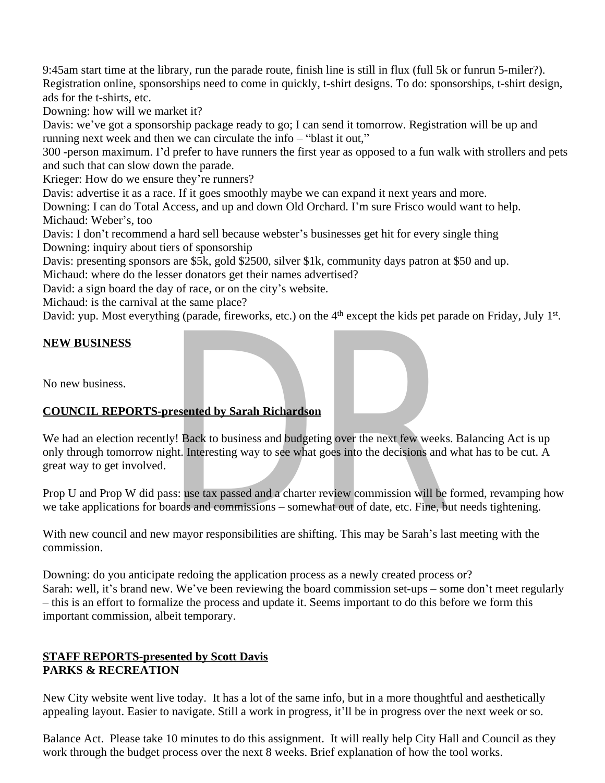9:45am start time at the library, run the parade route, finish line is still in flux (full 5k or funrun 5-miler?). Registration online, sponsorships need to come in quickly, t-shirt designs. To do: sponsorships, t-shirt design, ads for the t-shirts, etc.

Downing: how will we market it?

Davis: we've got a sponsorship package ready to go; I can send it tomorrow. Registration will be up and running next week and then we can circulate the info – "blast it out,"

300 -person maximum. I'd prefer to have runners the first year as opposed to a fun walk with strollers and pets and such that can slow down the parade.

Krieger: How do we ensure they're runners?

Davis: advertise it as a race. If it goes smoothly maybe we can expand it next years and more.

Downing: I can do Total Access, and up and down Old Orchard. I'm sure Frisco would want to help. Michaud: Weber's, too

Davis: I don't recommend a hard sell because webster's businesses get hit for every single thing Downing: inquiry about tiers of sponsorship

Davis: presenting sponsors are \$5k, gold \$2500, silver \$1k, community days patron at \$50 and up.

Michaud: where do the lesser donators get their names advertised?

David: a sign board the day of race, or on the city's website.

Michaud: is the carnival at the same place?

David: yup. Most everything (parade, fireworks, etc.) on the 4<sup>th</sup> except the kids pet parade on Friday, July 1<sup>st</sup>.

# **NEW BUSINESS**

No new business.

# **COUNCIL REPORTS-presented by Sarah Richardson**

**DETAINE SERVIE ASSEMAGES**<br>
Dresented by Sarah Richardson<br>
Ly! Back to business and budgeting over the next few weeks<br>
ght. Interesting way to see what goes into the decisions and<br>
ass: use tax passed and a charter review We had an election recently! Back to business and budgeting over the next few weeks. Balancing Act is up only through tomorrow night. Interesting way to see what goes into the decisions and what has to be cut. A great way to get involved.

Prop U and Prop W did pass: use tax passed and a charter review commission will be formed, revamping how we take applications for boards and commissions – somewhat out of date, etc. Fine, but needs tightening.

With new council and new mayor responsibilities are shifting. This may be Sarah's last meeting with the commission.

Downing: do you anticipate redoing the application process as a newly created process or? Sarah: well, it's brand new. We've been reviewing the board commission set-ups – some don't meet regularly – this is an effort to formalize the process and update it. Seems important to do this before we form this important commission, albeit temporary.

# **STAFF REPORTS-presented by Scott Davis PARKS & RECREATION**

**RTS-presented by Scott Davis**<br> **CREATION**<br>
te went live today. It has a lot of the same info, but in a more thoughtful and a<br>
i. Easier to navigate. Still a work in progress, it'll be in progress over the next v<br>
ease tak New City website went live today. It has a lot of the same info, but in a more thoughtful and aesthetically appealing layout. Easier to navigate. Still a work in progress, it'll be in progress over the next week or so.

Balance Act. Please take 10 minutes to do this assignment. It will really help City Hall and Council as they work through the budget process over the next 8 weeks. Brief explanation of how the tool works.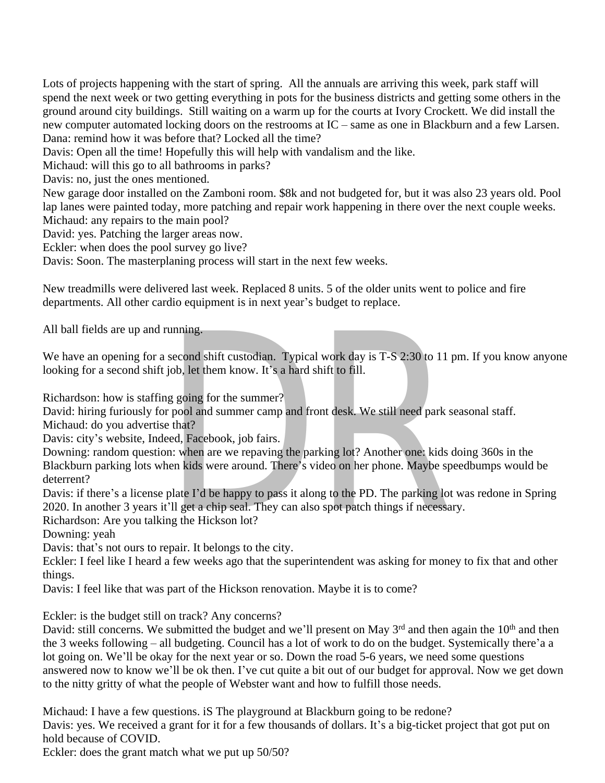Lots of projects happening with the start of spring. All the annuals are arriving this week, park staff will spend the next week or two getting everything in pots for the business districts and getting some others in the ground around city buildings. Still waiting on a warm up for the courts at Ivory Crockett. We did install the new computer automated locking doors on the restrooms at IC – same as one in Blackburn and a few Larsen. Dana: remind how it was before that? Locked all the time?

Davis: Open all the time! Hopefully this will help with vandalism and the like.

Michaud: will this go to all bathrooms in parks?

Davis: no, just the ones mentioned.

New garage door installed on the Zamboni room. \$8k and not budgeted for, but it was also 23 years old. Pool lap lanes were painted today, more patching and repair work happening in there over the next couple weeks. Michaud: any repairs to the main pool?

David: yes. Patching the larger areas now.

Eckler: when does the pool survey go live?

Davis: Soon. The masterplaning process will start in the next few weeks.

New treadmills were delivered last week. Replaced 8 units. 5 of the older units went to police and fire departments. All other cardio equipment is in next year's budget to replace.

All ball fields are up and running.

We have an opening for a second shift custodian. Typical work day is T-S 2:30 to 11 pm. If you know anyone looking for a second shift job, let them know. It's a hard shift to fill.

Richardson: how is staffing going for the summer?

David: hiring furiously for pool and summer camp and front desk. We still need park seasonal staff.

Michaud: do you advertise that?

Davis: city's website, Indeed, Facebook, job fairs.

running.<br>
second shift custodian. Typical work day is T-S 2:30 to 11<br>
job, let them know. It's a hard shift to fill.<br>
ng going for the summer?<br>
r pool and summer camp and front desk. We still need park<br>
e that?<br>
eed, Faceb Downing: random question: when are we repaving the parking lot? Another one: kids doing 360s in the Blackburn parking lots when kids were around. There's video on her phone. Maybe speedbumps would be deterrent?

Davis: if there's a license plate I'd be happy to pass it along to the PD. The parking lot was redone in Spring 2020. In another 3 years it'll get a chip seal. They can also spot patch things if necessary.

Richardson: Are you talking the Hickson lot?

Downing: yeah

Davis: that's not ours to repair. It belongs to the city.

Eckler: I feel like I heard a few weeks ago that the superintendent was asking for money to fix that and other things.

Davis: I feel like that was part of the Hickson renovation. Maybe it is to come?

Eckler: is the budget still on track? Any concerns?

erns. We submitted the budget and we'll present on May  $3<sup>rd</sup>$  and then again the owing – all budgeting. Council has a lot of work to do on the budget. Systemic e'll be okay for the next year or so. Down the road 5-6 y David: still concerns. We submitted the budget and we'll present on May 3<sup>rd</sup> and then again the 10<sup>th</sup> and then the 3 weeks following – all budgeting. Council has a lot of work to do on the budget. Systemically there'a a lot going on. We'll be okay for the next year or so. Down the road 5-6 years, we need some questions answered now to know we'll be ok then. I've cut quite a bit out of our budget for approval. Now we get down to the nitty gritty of what the people of Webster want and how to fulfill those needs.

Michaud: I have a few questions. iS The playground at Blackburn going to be redone? Davis: yes. We received a grant for it for a few thousands of dollars. It's a big-ticket project that got put on hold because of COVID.

Eckler: does the grant match what we put up 50/50?